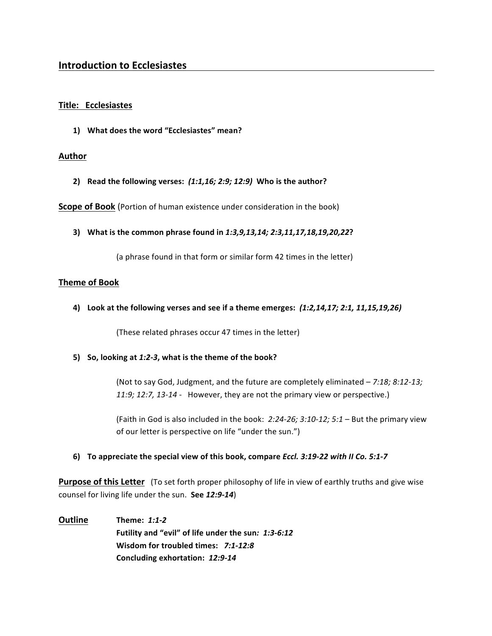#### **Title: Ecclesiastes**

1) What does the word "Ecclesiastes" mean?

#### **Author**

2) Read the following verses:  $(1:1,16; 2:9; 12:9)$  Who is the author?

**Scope of Book** (Portion of human existence under consideration in the book)

3) What is the common phrase found in 1:3,9,13,14; 2:3,11,17,18,19,20,22?

(a phrase found in that form or similar form 42 times in the letter)

## **Theme of Book**

4) Look at the following verses and see if a theme emerges:  $(1:2,14,17; 2:1, 11,15,19,26)$ 

(These related phrases occur 47 times in the letter)

**5)** So, looking at 1:2-3, what is the theme of the book?

(Not to say God, Judgment, and the future are completely eliminated  $-7:18; 8:12-13;$ 11:9; 12:7, 13-14 - However, they are not the primary view or perspective.)

(Faith in God is also included in the book:  $2:24-26$ ;  $3:10-12$ ;  $5:1$  – But the primary view of our letter is perspective on life "under the sun.")

#### **6)** To appreciate the special view of this book, compare *Eccl.* 3:19-22 with II Co. 5:1-7

**Purpose of this Letter** (To set forth proper philosophy of life in view of earthly truths and give wise counsel for living life under the sun. See 12:9-14)

**Outline Theme:** 1:1-2 Futility and "evil" of life under the sun: 1:3-6:12 **Wisdom for troubled times: 7:1-12:8 Concluding exhortation:** *12:9-14*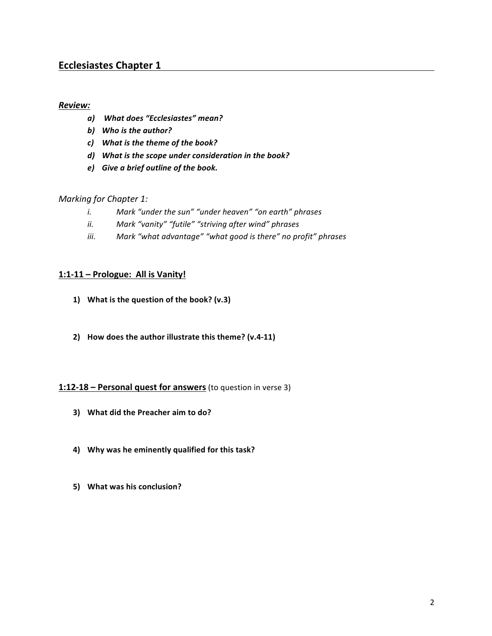### *Review:*

- *a) What does "Ecclesiastes" mean?*
- *b)* Who is the author?
- *c*) What is the theme of the book?
- *d)* What is the scope under consideration in the book?
- *e*) Give a brief outline of the book.

### *Marking for Chapter 1:*

- *i.* Mark "under the sun" "under heaven" "on earth" phrases
- *ii.* Mark "vanity" "futile" "striving after wind" phrases
- *iii.* Mark "what advantage" "what good is there" no profit" phrases

### 1:1-11 – Prologue: All is Vanity!

- 1) What is the question of the book? (v.3)
- **2) How does the author illustrate this theme? (v.4-11)**

#### **1:12-18** – **Personal quest for answers** (to question in verse 3)

- **3) What did the Preacher aim to do?**
- 4) Why was he eminently qualified for this task?
- **5)** What was his conclusion?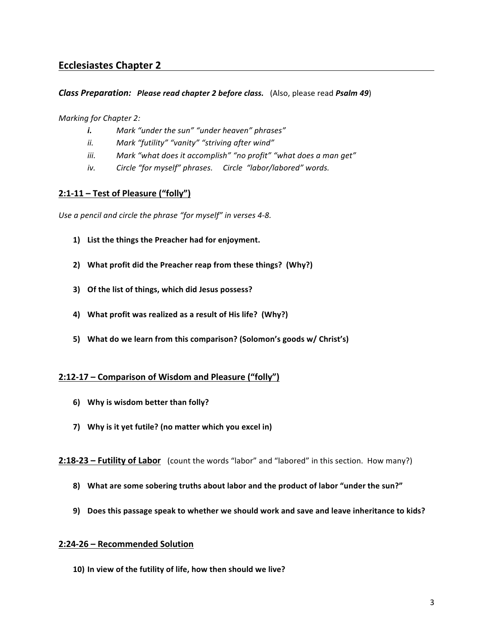#### *Class Preparation: Please read chapter 2 before class.* (Also, please read *Psalm 49*)

*Marking for Chapter 2:* 

- *i.* Mark "under the sun" "under heaven" phrases"
- *ii.* Mark "futility" "vanity" "striving after wind"
- *iii.* Mark "what does it accomplish" "no profit" "what does a man get"
- *iv.* Circle "for myself" phrases. Circle "labor/labored" words.

## **2:1-11 – Test of Pleasure ("folly")**

Use a pencil and circle the phrase "for myself" in verses 4-8.

- 1) List the things the Preacher had for enjoyment.
- 2) What profit did the Preacher reap from these things? (Why?)
- **3)** Of the list of things, which did Jesus possess?
- 4) What profit was realized as a result of His life? (Why?)
- 5) What do we learn from this comparison? (Solomon's goods w/ Christ's)

## **2:12-17 – Comparison of Wisdom and Pleasure ("folly")**

- **6)** Why is wisdom better than folly?
- 7) Why is it yet futile? (no matter which you excel in)

**2:18-23 – Futility of Labor** (count the words "labor" and "labored" in this section. How many?)

- 8) What are some sobering truths about labor and the product of labor "under the sun?"
- **9)** Does this passage speak to whether we should work and save and leave inheritance to kids?

#### **2:24-26 – Recommended Solution**

10) In view of the futility of life, how then should we live?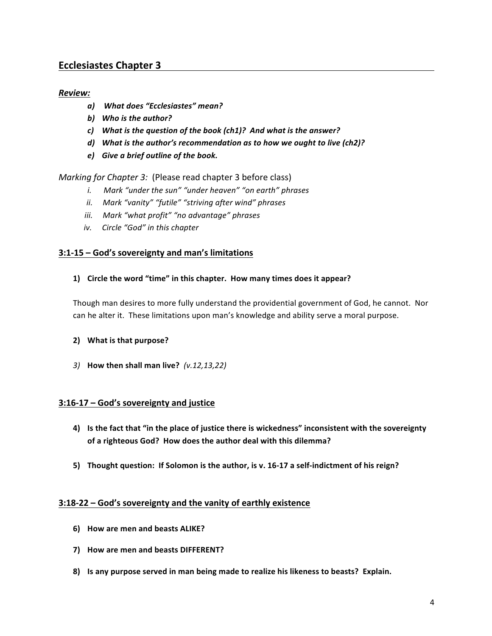## *Review:*

- *a) What does "Ecclesiastes" mean?*
- **b)** Who is the author?
- *c*) What is the question of the book (ch1)? And what is the answer?
- d) What is the author's recommendation as to how we ought to live (ch2)?
- *e*) Give a brief outline of the book.

*Marking for Chapter 3:* (Please read chapter 3 before class)

- *i.* Mark "under the sun" "under heaven" "on earth" phrases
- *ii.* Mark "vanity" "futile" "striving after wind" phrases
- *iii.* Mark "what profit" "no advantage" phrases
- *iv. Circle "God" in this chapter*

#### **3:1-15 – God's sovereignty and man's limitations**

#### 1) Circle the word "time" in this chapter. How many times does it appear?

Though man desires to more fully understand the providential government of God, he cannot. Nor can he alter it. These limitations upon man's knowledge and ability serve a moral purpose.

#### **2)** What is that purpose?

*3)* **How then shall man live?**  *(v.12,13,22)*

## **3:16-17 – God's sovereignty and justice**

- 4) Is the fact that "in the place of justice there is wickedness" inconsistent with the sovereignty of a righteous God? How does the author deal with this dilemma?
- 5) Thought question: If Solomon is the author, is v. 16-17 a self-indictment of his reign?

#### **3:18-22 - God's sovereignty and the vanity of earthly existence**

- **6) How are men and beasts ALIKE?**
- **7) How are men and beasts DIFFERENT?**
- 8) Is any purpose served in man being made to realize his likeness to beasts? Explain.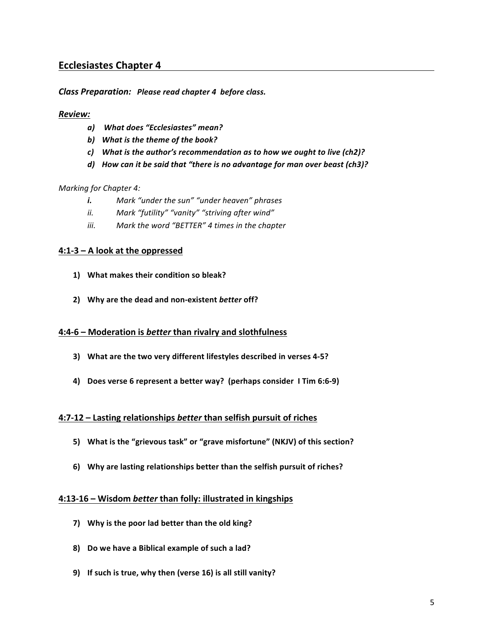*Class Preparation: Please read chapter 4 before class.* 

#### *Review:*

- *a) What does "Ecclesiastes" mean?*
- *b)* What is the theme of the book?
- c) What is the author's recommendation as to how we ought to live (ch2)?
- d) How can it be said that "there is no advantage for man over beast (ch3)?

#### *Marking for Chapter 4:*

- *i.* Mark "under the sun" "under heaven" phrases
- *ii.* Mark "futility" "vanity" "striving after wind"
- *iii.* Mark the word "BETTER" 4 times in the chapter

## **4:1-3 – A look at the oppressed**

- 1) What makes their condition so bleak?
- 2) Why are the dead and non-existent *better* off?

#### **4:4-6 – Moderation is** *better* **than rivalry and slothfulness**

- **3)** What are the two very different lifestyles described in verses 4-5?
- 4) Does verse 6 represent a better way? (perhaps consider I Tim 6:6-9)

#### **4:7-12 – Lasting relationships better than selfish pursuit of riches**

- 5) What is the "grievous task" or "grave misfortune" (NKJV) of this section?
- **6)** Why are lasting relationships better than the selfish pursuit of riches?

#### **4:13-16 – Wisdom better than folly: illustrated in kingships**

- **7)** Why is the poor lad better than the old king?
- 8) Do we have a Biblical example of such a lad?
- **9)** If such is true, why then (verse 16) is all still vanity?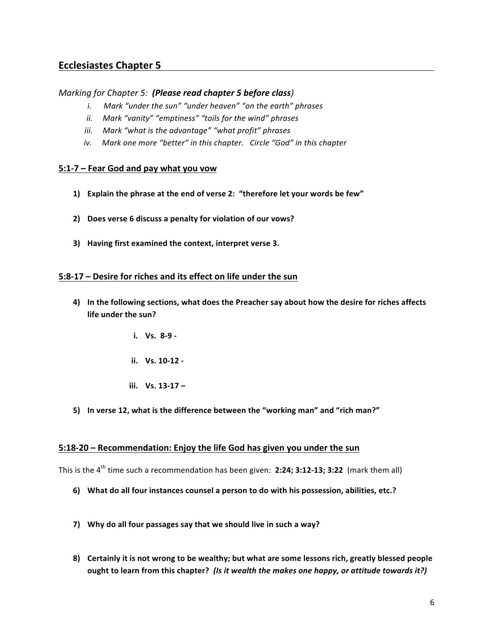## *Marking* for *Chapter 5:* (Please read chapter 5 before class)

- *i. Mark "under the sun" "under heaven" "on the earth" phrases*
- *ii.* Mark "vanity" "emptiness" "toils for the wind" phrases
- *iii.* Mark "what is the advantage" "what profit" phrases
- *iv.* Mark one more "better" in this chapter. Circle "God" in this chapter

#### **5:1-7 – Fear God and pay what you vow**

- 1) Explain the phrase at the end of verse 2: "therefore let your words be few"
- 2) Does verse 6 discuss a penalty for violation of our vows?
- **3)** Having first examined the context, interpret verse 3.

#### **5:8-17** – Desire for riches and its effect on life under the sun

- 4) In the following sections, what does the Preacher say about how the desire for riches affects **life under the sun?** 
	- **i. Vs. 8-9 -**
	- **ii. Vs. 10-12 -**
	- **iii. Vs.** 13-17 –
- 5) In verse 12, what is the difference between the "working man" and "rich man?"

## **5:18-20** – Recommendation: Enjoy the life God has given you under the sun

This is the 4<sup>th</sup> time such a recommendation has been given: 2:24; 3:12-13; 3:22 (mark them all)

- 6) What do all four instances counsel a person to do with his possession, abilities, etc.?
- 7) Why do all four passages say that we should live in such a way?
- 8) Certainly it is not wrong to be wealthy; but what are some lessons rich, greatly blessed people ought to learn from this chapter? (Is it wealth the makes one happy, or attitude towards it?)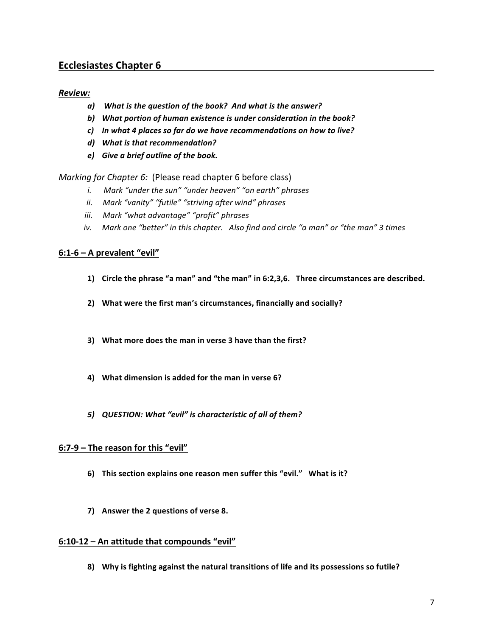## *Review:*

- *a*) What is the question of the book? And what is the answer?
- b) What portion of human existence is under consideration in the book?
- c) In what 4 places so far do we have recommendations on how to live?
- d) What is that recommendation?
- $e)$  *Give a brief outline of the book.*

*Marking* for *Chapter 6:* (Please read chapter 6 before class)

- *i.* Mark "under the sun" "under heaven" "on earth" phrases
- *ii.* Mark "vanity" "futile" "striving after wind" phrases
- *iii.* Mark "what advantage" "profit" phrases
- *iv.* Mark one "better" in this chapter. Also find and circle "a man" or "the man" 3 times

## **6:1-6 – A prevalent "evil"**

- 1) Circle the phrase "a man" and "the man" in 6:2,3,6. Three circumstances are described.
- 2) What were the first man's circumstances, financially and socially?
- **3)** What more does the man in verse 3 have than the first?
- 4) What dimension is added for the man in verse 6?
- 5) **QUESTION:** What "evil" is characteristic of all of them?

## 6:7-9 - The reason for this "evil"

- **6)** This section explains one reason men suffer this "evil." What is it?
- **7) Answer the 2 questions of verse 8.**

#### **6:10-12 – An attitude that compounds "evil"**

8) Why is fighting against the natural transitions of life and its possessions so futile?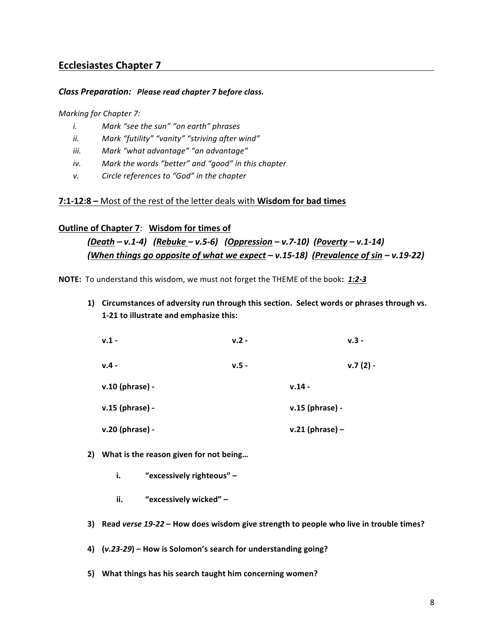#### *Class Preparation: Please read chapter 7 before class.*

#### *Marking* for Chapter 7:

- *i.* Mark "see the sun" "on earth" phrases
- *ii.* Mark "futility" "vanity" "striving after wind"
- *iii. Mark "what advantage" "an advantage"*
- *iv.* Mark the words "better" and "good" in this chapter
- *v.* Circle references to "God" in the chapter

## **7:1-12:8** – Most of the rest of the letter deals with Wisdom for bad times

## **Outline of Chapter 7: Wisdom for times of**

*(Death – v.1-4) (Rebuke – v.5-6) (Oppression – v.7-10) (Poverty – v.1-14) (When things go opposite of what we expect – v.15-18) (Prevalence of sin – v.19-22)*

**NOTE:** To understand this wisdom, we must not forget the THEME of the book: 1:2-3

**1)** Circumstances of adversity run through this section. Select words or phrases through vs. **1-21 to illustrate and emphasize this:** 

| $v.1 -$         | $v.2 -$ | $v.3 -$           |
|-----------------|---------|-------------------|
| $v.4 -$         | $v.5 -$ | $v.7(2) -$        |
| v.10 (phrase) - |         | $v.14 -$          |
| v.15 (phrase) - |         | v.15 (phrase) -   |
| v.20 (phrase) - |         | $v.21$ (phrase) – |

- 2) What is the reason given for not being...
	- **i.** *"***excessively righteous"**
	- **ii.** "excessively wicked" –
- **3)** Read verse 19-22 How does wisdom give strength to people who live in trouble times?

4)  $(v.23-29)$  – How is Solomon's search for understanding going?

5) What things has his search taught him concerning women?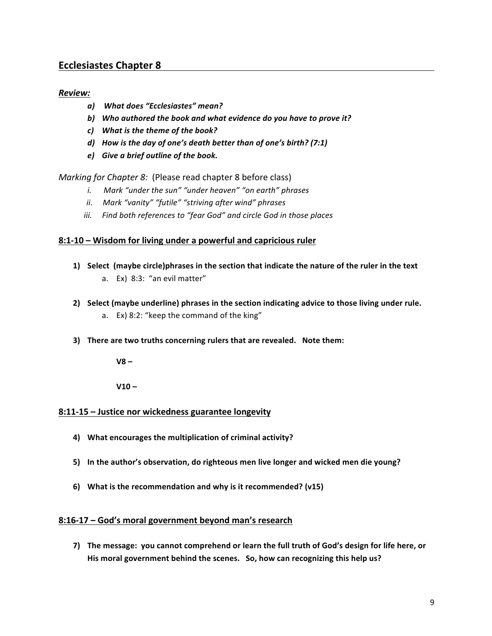## *Review:*

- *a) What does "Ecclesiastes" mean?*
- b) Who authored the book and what evidence do you have to prove it?
- *c*) What is the theme of the book?
- *d)* How is the day of one's death better than of one's birth? (7:1)
- $e)$  *Give a brief outline of the book.*

*Marking for Chapter 8:* (Please read chapter 8 before class)

- *i.* Mark "under the sun" "under heaven" "on earth" phrases
- *ii.* Mark "vanity" "futile" "striving after wind" phrases
- iii. Find both references to "fear God" and circle God in those places

### 8:1-10 - Wisdom for living under a powerful and capricious ruler

- **1)** Select (maybe circle)phrases in the section that indicate the nature of the ruler in the text a. Ex) 8:3: "an evil matter"
- **2)** Select (maybe underline) phrases in the section indicating advice to those living under rule.
	- a. Ex) 8:2: "keep the command of the king"
- **3)** There are two truths concerning rulers that are revealed. Note them:

**V8 –**

**V10 –**

#### 8:11-15 - Justice nor wickedness guarantee longevity

- 4) What encourages the multiplication of criminal activity?
- 5) In the author's observation, do righteous men live longer and wicked men die young?
- **6)** What is the recommendation and why is it recommended? (v15)

#### **8:16-17 – God's moral government beyond man's research**

7) The message: you cannot comprehend or learn the full truth of God's design for life here, or His moral government behind the scenes. So, how can recognizing this help us?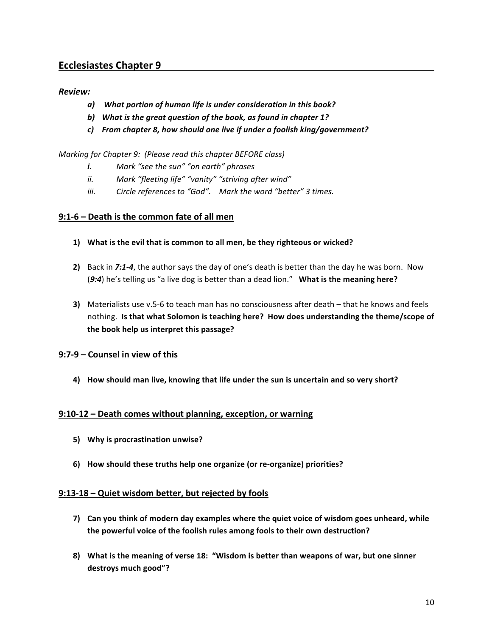## *Review:*

- a) What portion of human life is under consideration in this book?
- b) What is the great question of the book, as found in chapter 1?
- *c*) From chapter 8, how should one live if under a foolish king/government?

### *Marking* for *Chapter 9:* (Please read this chapter BEFORE class)

- *i.* Mark "see the sun" "on earth" phrases
- *ii.* Mark "fleeting life" "vanity" "striving after wind"
- *iii.* Circle references to "God". Mark the word "better" 3 times.

## **9:1-6 – Death is the common fate of all men**

- 1) What is the evil that is common to all men, be they righteous or wicked?
- **2)** Back in 7:1-4, the author says the day of one's death is better than the day he was born. Now (9:4) he's telling us "a live dog is better than a dead lion." What is the meaning here?
- **3)** Materialists use v.5-6 to teach man has no consciousness after death that he knows and feels nothing. Is that what Solomon is teaching here? How does understanding the theme/scope of the book help us interpret this passage?

## **9:7-9 – Counsel in view of this**

4) How should man live, knowing that life under the sun is uncertain and so very short?

## **9:10-12 – Death comes without planning, exception, or warning**

- **5) Why is procrastination unwise?**
- **6) How should these truths help one organize (or re-organize) priorities?**

#### 9:13-18 – Quiet wisdom better, but rejected by fools

- **7)** Can you think of modern day examples where the quiet voice of wisdom goes unheard, while the powerful voice of the foolish rules among fools to their own destruction?
- 8) What is the meaning of verse 18: "Wisdom is better than weapons of war, but one sinner **destroys much good"?**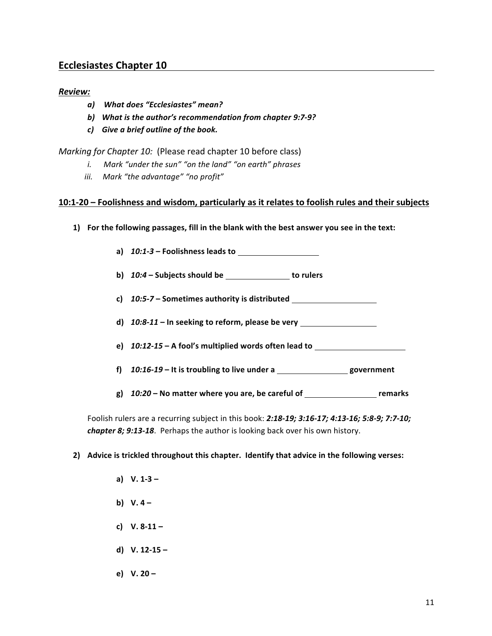## *Review:*

- *a) What does "Ecclesiastes" mean?*
- b) What is the author's recommendation from chapter 9:7-9?
- *c) Give a brief outline of the book.*

*Marking for Chapter 10:* (Please read chapter 10 before class)

- *i.* Mark "under the sun" "on the land" "on earth" phrases
- *iii.* Mark "the advantage" "no profit"

#### 10:1-20 – Foolishness and wisdom, particularly as it relates to foolish rules and their subjects

- **1)** For the following passages, fill in the blank with the best answer you see in the text:
	- a)  $10:1-3$  Foolishness leads to
	- **b)**  $10:4$  Subjects should be **to** rulers
	- c) 10:5-7 Sometimes authority is distributed **Letter Letter Letter Letter Letter**
	- d) 10:8-11 In seeking to reform, please be very
	- **e)**  $10:12-15$  A fool's multiplied words often lead to
	- **f)**  $10:16-19$  It is troubling to live under a
	- **g)** *10:20* **– No matter where you are, be careful of remarks**

Foolish rulers are a recurring subject in this book: 2:18-19; 3:16-17; 4:13-16; 5:8-9; 7:7-10; *chapter 8; 9:13-18*. Perhaps the author is looking back over his own history.

#### **2)** Advice is trickled throughout this chapter. Identify that advice in the following verses:

- **a) V. 1-3 – b) V. 4 – c) V. 8-11 – d) V. 12-15 –**
- **e) V. 20 –**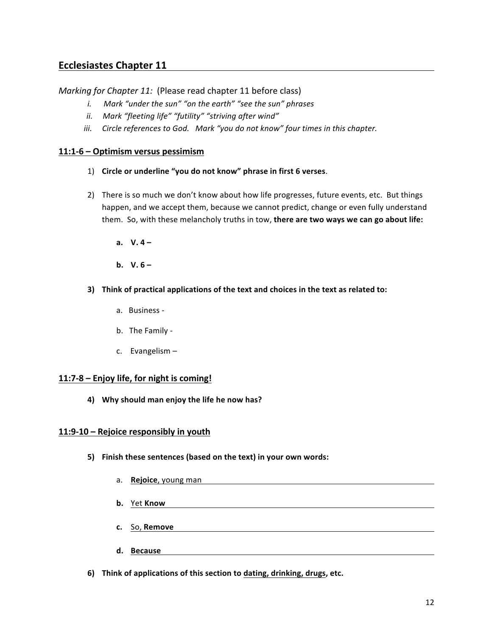*Marking for Chapter 11:* (Please read chapter 11 before class)

- *i.* Mark "under the sun" "on the earth" "see the sun" phrases
- *ii.* Mark "fleeting life" "futility" "striving after wind"
- *iii.* Circle references to God. Mark "you do not know" four times in this chapter.

## **11:1-6 – Optimism versus pessimism**

- 1) Circle or underline "you do not know" phrase in first 6 verses.
- 2) There is so much we don't know about how life progresses, future events, etc. But things happen, and we accept them, because we cannot predict, change or even fully understand them. So, with these melancholy truths in tow, there are two ways we can go about life:
	- **a. V. 4 –**
	- **b.**  $V. 6 -$
- **3)** Think of practical applications of the text and choices in the text as related to:
	- a. Business -
	- b. The Family -
	- c. Evangelism  $-$

## 11:7-8 – Enjoy life, for night is coming!

4) Why should man enjoy the life he now has?

## 11:9-10 – Rejoice responsibly in youth

- **5)** Finish these sentences (based on the text) in your own words:
	- a. **Rejoice**, young man
	- **b.** Yet Know
	- **c.** So, **Remove**
	- **d. Because**
- **6)** Think of applications of this section to dating, drinking, drugs, etc.